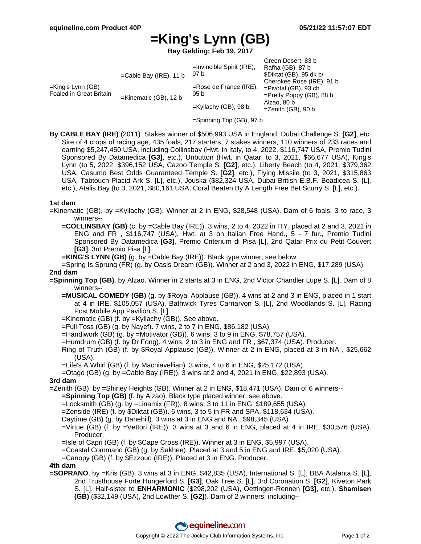# **=King's Lynn (GB)**

**Bay Gelding; Feb 19, 2017**

|                                              |                           | $=$ Invincible Spirit (IRE),      | Green Desert, 83 b<br>Rafha (GB), 87 b                                              |
|----------------------------------------------|---------------------------|-----------------------------------|-------------------------------------------------------------------------------------|
| =King's Lynn (GB)<br>Foaled in Great Britain | $=$ Cable Bay (IRE), 11 b | 97 b                              | \$Diktat (GB), 95 dk b/                                                             |
|                                              | =Kinematic (GB), 12 b     | $=$ Rose de France (IRE),<br>05 b | Cherokee Rose (IRE), 91 b<br>$=$ Pivotal (GB), 93 ch<br>$=$ Pretty Poppy (GB), 88 b |
|                                              |                           | $=$ Kyllachy (GB), 98 b           | Alzao, 80 b<br>$=$ Zenith (GB), 90 b                                                |

- =Spinning Top (GB), 97 b
- **By CABLE BAY (IRE)** (2011). Stakes winner of \$506,993 USA in England, Dubai Challenge S. **[G2]**, etc. Sire of 4 crops of racing age, 435 foals, 217 starters, 7 stakes winners, 110 winners of 233 races and earning \$5,247,450 USA, including Collinsbay (Hwt. in Italy, to 4, 2022, \$116,747 USA, Premio Tudini Sponsored By Datamedica **[G3]**, etc.), Unbutton (Hwt. in Qatar, to 3, 2021, \$66,677 USA), King's Lynn (to 5, 2022, \$396,152 USA, Cazoo Temple S. **[G2]**, etc.), Liberty Beach (to 4, 2021, \$379,362 USA, Casumo Best Odds Guaranteed Temple S. **[G2]**, etc.), Flying Missile (to 3, 2021, \$315,863 USA, Tabtouch-Placid Ark S. [L], etc.), Jouska (\$82,324 USA, Dubai British E.B.F. Boadicea S. [L], etc.), Atalis Bay (to 3, 2021, \$80,161 USA, Coral Beaten By A Length Free Bet Scurry S. [L], etc.).

#### **1st dam**

- =Kinematic (GB), by =Kyllachy (GB). Winner at 2 in ENG, \$28,548 (USA). Dam of 6 foals, 3 to race, 3 winners--
	- **=COLLINSBAY (GB)** (c. by =Cable Bay (IRE)). 3 wins, 2 to 4, 2022 in ITY, placed at 2 and 3, 2021 in ENG and FR , \$116,747 (USA), Hwt. at 3 on Italian Free Hand., 5 - 7 fur., Premio Tudini Sponsored By Datamedica **[G3]**, Premio Criterium di Pisa [L], 2nd Qatar Prix du Petit Couvert **[G3]**, 3rd Premio Pisa [L].
	- **=KING'S LYNN (GB)** (g. by =Cable Bay (IRE)). Black type winner, see below.

=Spring Is Sprung (FR) (g. by Oasis Dream (GB)). Winner at 2 and 3, 2022 in ENG, \$17,289 (USA). **2nd dam**

- **=Spinning Top (GB)**, by Alzao. Winner in 2 starts at 3 in ENG, 2nd Victor Chandler Lupe S. [L]. Dam of 8 winners--
	- **=MUSICAL COMEDY (GB)** (g. by \$Royal Applause (GB)). 4 wins at 2 and 3 in ENG, placed in 1 start at 4 in IRE, \$105,057 (USA), Bathwick Tyres Carnarvon S. [L], 2nd Woodlands S. [L], Racing Post Mobile App Pavilion S. [L].
	- =Kinematic (GB) (f. by =Kyllachy (GB)). See above.
	- =Full Toss (GB) (g. by Nayef). 7 wins, 2 to 7 in ENG, \$86,182 (USA).
	- =Handiwork (GB) (g. by =Motivator (GB)). 6 wins, 3 to 9 in ENG, \$78,757 (USA).
	- =Humdrum (GB) (f. by Dr Fong). 4 wins, 2 to 3 in ENG and FR , \$67,374 (USA). Producer.
	- Ring of Truth (GB) (f. by \$Royal Applause (GB)). Winner at 2 in ENG, placed at 3 in NA , \$25,662 (USA).
	- =Life's A Whirl (GB) (f. by Machiavellian). 3 wins, 4 to 6 in ENG, \$25,172 (USA).
	- =Otago (GB) (g. by =Cable Bay (IRE)). 3 wins at 2 and 4, 2021 in ENG, \$22,893 (USA).

#### **3rd dam**

=Zenith (GB), by =Shirley Heights (GB). Winner at 2 in ENG, \$18,471 (USA). Dam of 6 winners--

**=Spinning Top (GB)** (f. by Alzao). Black type placed winner, see above.

 $=$ Locksmith (GB) (g. by  $=$ Linamix (FR)). 8 wins, 3 to 11 in ENG, \$189,655 (USA).

=Zenside (IRE) (f. by \$Diktat (GB)). 6 wins, 3 to 5 in FR and SPA, \$118,634 (USA).

Daytime (GB) (g. by Danehill). 3 wins at 3 in ENG and NA , \$98,345 (USA).

=Virtue (GB) (f. by =Vettori (IRE)). 3 wins at 3 and 6 in ENG, placed at 4 in IRE, \$30,576 (USA). Producer.

=Isle of Capri (GB) (f. by \$Cape Cross (IRE)). Winner at 3 in ENG, \$5,997 (USA).

=Coastal Command (GB) (g. by Sakhee). Placed at 3 and 5 in ENG and IRE, \$5,020 (USA).

=Canopy (GB) (f. by \$Ezzoud (IRE)). Placed at 3 in ENG. Producer.

### **4th dam**

**=SOPRANO**, by =Kris (GB). 3 wins at 3 in ENG, \$42,835 (USA), International S. [L], BBA Atalanta S. [L], 2nd Trusthouse Forte Hungerford S. **[G3]**, Oak Tree S. [L], 3rd Coronation S. **[G2]**, Kiveton Park S. [L]. Half-sister to **ENHARMONIC** (\$298,202 (USA), Oettingen-Rennen **[G3]**, etc.), **Shamisen (GB)** (\$32,149 (USA), 2nd Lowther S. **[G2]**). Dam of 2 winners, including--